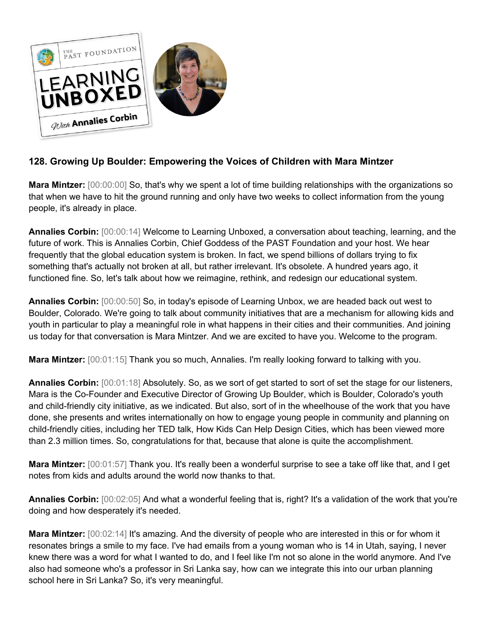

## **128. Growing Up Boulder: Empowering the Voices of Children with Mara Mintzer**

**Mara Mintzer:** [00:00:00] So, that's why we spent a lot of time building relationships with the organizations so that when we have to hit the ground running and only have two weeks to collect information from the young people, it's already in place.

**Annalies Corbin:** [00:00:14] Welcome to Learning Unboxed, a conversation about teaching, learning, and the future of work. This is Annalies Corbin, Chief Goddess of the PAST Foundation and your host. We hear frequently that the global education system is broken. In fact, we spend billions of dollars trying to fix something that's actually not broken at all, but rather irrelevant. It's obsolete. A hundred years ago, it functioned fine. So, let's talk about how we reimagine, rethink, and redesign our educational system.

**Annalies Corbin:** [00:00:50] So, in today's episode of Learning Unbox, we are headed back out west to Boulder, Colorado. We're going to talk about community initiatives that are a mechanism for allowing kids and youth in particular to play a meaningful role in what happens in their cities and their communities. And joining us today for that conversation is Mara Mintzer. And we are excited to have you. Welcome to the program.

**Mara Mintzer:** [00:01:15] Thank you so much, Annalies. I'm really looking forward to talking with you.

**Annalies Corbin:** [00:01:18] Absolutely. So, as we sort of get started to sort of set the stage for our listeners, Mara is the Co-Founder and Executive Director of Growing Up Boulder, which is Boulder, Colorado's youth and child-friendly city initiative, as we indicated. But also, sort of in the wheelhouse of the work that you have done, she presents and writes internationally on how to engage young people in community and planning on child-friendly cities, including her TED talk, How Kids Can Help Design Cities, which has been viewed more than 2.3 million times. So, congratulations for that, because that alone is quite the accomplishment.

**Mara Mintzer:** [00:01:57] Thank you. It's really been a wonderful surprise to see a take off like that, and I get notes from kids and adults around the world now thanks to that.

**Annalies Corbin:** [00:02:05] And what a wonderful feeling that is, right? It's a validation of the work that you're doing and how desperately it's needed.

**Mara Mintzer:** [00:02:14] It's amazing. And the diversity of people who are interested in this or for whom it resonates brings a smile to my face. I've had emails from a young woman who is 14 in Utah, saying, I never knew there was a word for what I wanted to do, and I feel like I'm not so alone in the world anymore. And I've also had someone who's a professor in Sri Lanka say, how can we integrate this into our urban planning school here in Sri Lanka? So, it's very meaningful.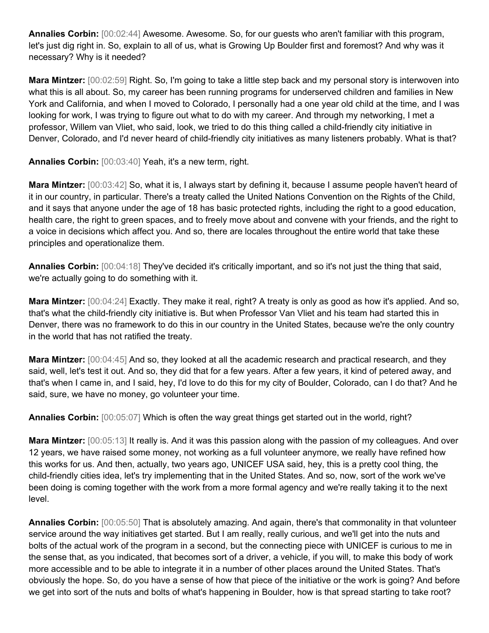**Annalies Corbin:** [00:02:44] Awesome. Awesome. So, for our guests who aren't familiar with this program, let's just dig right in. So, explain to all of us, what is Growing Up Boulder first and foremost? And why was it necessary? Why is it needed?

**Mara Mintzer:** [00:02:59] Right. So, I'm going to take a little step back and my personal story is interwoven into what this is all about. So, my career has been running programs for underserved children and families in New York and California, and when I moved to Colorado, I personally had a one year old child at the time, and I was looking for work, I was trying to figure out what to do with my career. And through my networking, I met a professor, Willem van Vliet, who said, look, we tried to do this thing called a child-friendly city initiative in Denver, Colorado, and I'd never heard of child-friendly city initiatives as many listeners probably. What is that?

**Annalies Corbin:** [00:03:40] Yeah, it's a new term, right.

**Mara Mintzer:** [00:03:42] So, what it is, I always start by defining it, because I assume people haven't heard of it in our country, in particular. There's a treaty called the United Nations Convention on the Rights of the Child, and it says that anyone under the age of 18 has basic protected rights, including the right to a good education, health care, the right to green spaces, and to freely move about and convene with your friends, and the right to a voice in decisions which affect you. And so, there are locales throughout the entire world that take these principles and operationalize them.

**Annalies Corbin:** [00:04:18] They've decided it's critically important, and so it's not just the thing that said, we're actually going to do something with it.

**Mara Mintzer:** [00:04:24] Exactly. They make it real, right? A treaty is only as good as how it's applied. And so, that's what the child-friendly city initiative is. But when Professor Van Vliet and his team had started this in Denver, there was no framework to do this in our country in the United States, because we're the only country in the world that has not ratified the treaty.

**Mara Mintzer:** [00:04:45] And so, they looked at all the academic research and practical research, and they said, well, let's test it out. And so, they did that for a few years. After a few years, it kind of petered away, and that's when I came in, and I said, hey, I'd love to do this for my city of Boulder, Colorado, can I do that? And he said, sure, we have no money, go volunteer your time.

**Annalies Corbin:** [00:05:07] Which is often the way great things get started out in the world, right?

**Mara Mintzer:** [00:05:13] It really is. And it was this passion along with the passion of my colleagues. And over 12 years, we have raised some money, not working as a full volunteer anymore, we really have refined how this works for us. And then, actually, two years ago, UNICEF USA said, hey, this is a pretty cool thing, the child-friendly cities idea, let's try implementing that in the United States. And so, now, sort of the work we've been doing is coming together with the work from a more formal agency and we're really taking it to the next level.

**Annalies Corbin:** [00:05:50] That is absolutely amazing. And again, there's that commonality in that volunteer service around the way initiatives get started. But I am really, really curious, and we'll get into the nuts and bolts of the actual work of the program in a second, but the connecting piece with UNICEF is curious to me in the sense that, as you indicated, that becomes sort of a driver, a vehicle, if you will, to make this body of work more accessible and to be able to integrate it in a number of other places around the United States. That's obviously the hope. So, do you have a sense of how that piece of the initiative or the work is going? And before we get into sort of the nuts and bolts of what's happening in Boulder, how is that spread starting to take root?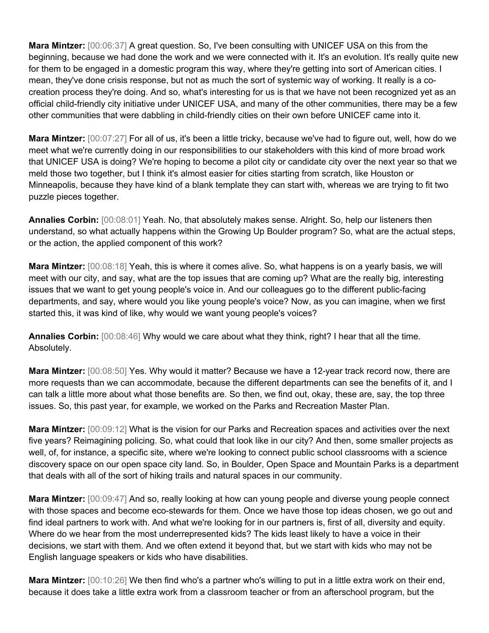**Mara Mintzer:** [00:06:37] A great question. So, I've been consulting with UNICEF USA on this from the beginning, because we had done the work and we were connected with it. It's an evolution. It's really quite new for them to be engaged in a domestic program this way, where they're getting into sort of American cities. I mean, they've done crisis response, but not as much the sort of systemic way of working. It really is a cocreation process they're doing. And so, what's interesting for us is that we have not been recognized yet as an official child-friendly city initiative under UNICEF USA, and many of the other communities, there may be a few other communities that were dabbling in child-friendly cities on their own before UNICEF came into it.

**Mara Mintzer:** [00:07:27] For all of us, it's been a little tricky, because we've had to figure out, well, how do we meet what we're currently doing in our responsibilities to our stakeholders with this kind of more broad work that UNICEF USA is doing? We're hoping to become a pilot city or candidate city over the next year so that we meld those two together, but I think it's almost easier for cities starting from scratch, like Houston or Minneapolis, because they have kind of a blank template they can start with, whereas we are trying to fit two puzzle pieces together.

**Annalies Corbin:** [00:08:01] Yeah. No, that absolutely makes sense. Alright. So, help our listeners then understand, so what actually happens within the Growing Up Boulder program? So, what are the actual steps, or the action, the applied component of this work?

**Mara Mintzer:** [00:08:18] Yeah, this is where it comes alive. So, what happens is on a yearly basis, we will meet with our city, and say, what are the top issues that are coming up? What are the really big, interesting issues that we want to get young people's voice in. And our colleagues go to the different public-facing departments, and say, where would you like young people's voice? Now, as you can imagine, when we first started this, it was kind of like, why would we want young people's voices?

**Annalies Corbin:** [00:08:46] Why would we care about what they think, right? I hear that all the time. Absolutely.

**Mara Mintzer:** [00:08:50] Yes. Why would it matter? Because we have a 12-year track record now, there are more requests than we can accommodate, because the different departments can see the benefits of it, and I can talk a little more about what those benefits are. So then, we find out, okay, these are, say, the top three issues. So, this past year, for example, we worked on the Parks and Recreation Master Plan.

**Mara Mintzer:** [00:09:12] What is the vision for our Parks and Recreation spaces and activities over the next five years? Reimagining policing. So, what could that look like in our city? And then, some smaller projects as well, of, for instance, a specific site, where we're looking to connect public school classrooms with a science discovery space on our open space city land. So, in Boulder, Open Space and Mountain Parks is a department that deals with all of the sort of hiking trails and natural spaces in our community.

**Mara Mintzer:** [00:09:47] And so, really looking at how can young people and diverse young people connect with those spaces and become eco-stewards for them. Once we have those top ideas chosen, we go out and find ideal partners to work with. And what we're looking for in our partners is, first of all, diversity and equity. Where do we hear from the most underrepresented kids? The kids least likely to have a voice in their decisions, we start with them. And we often extend it beyond that, but we start with kids who may not be English language speakers or kids who have disabilities.

**Mara Mintzer:** [00:10:26] We then find who's a partner who's willing to put in a little extra work on their end, because it does take a little extra work from a classroom teacher or from an afterschool program, but the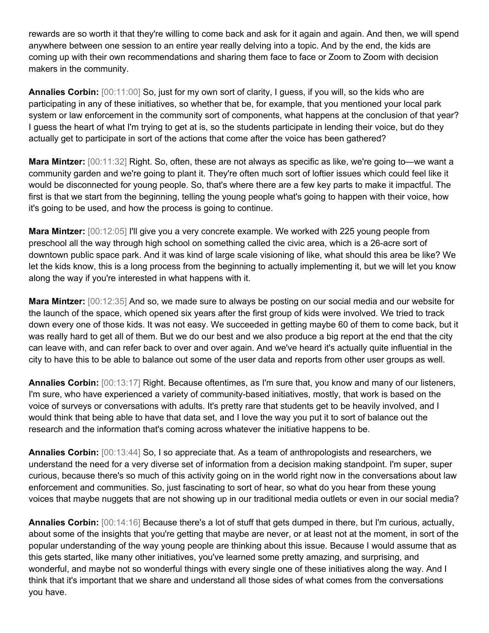rewards are so worth it that they're willing to come back and ask for it again and again. And then, we will spend anywhere between one session to an entire year really delving into a topic. And by the end, the kids are coming up with their own recommendations and sharing them face to face or Zoom to Zoom with decision makers in the community.

**Annalies Corbin:** [00:11:00] So, just for my own sort of clarity, I guess, if you will, so the kids who are participating in any of these initiatives, so whether that be, for example, that you mentioned your local park system or law enforcement in the community sort of components, what happens at the conclusion of that year? I guess the heart of what I'm trying to get at is, so the students participate in lending their voice, but do they actually get to participate in sort of the actions that come after the voice has been gathered?

**Mara Mintzer:** [00:11:32] Right. So, often, these are not always as specific as like, we're going to—we want a community garden and we're going to plant it. They're often much sort of loftier issues which could feel like it would be disconnected for young people. So, that's where there are a few key parts to make it impactful. The first is that we start from the beginning, telling the young people what's going to happen with their voice, how it's going to be used, and how the process is going to continue.

**Mara Mintzer:** [00:12:05] I'll give you a very concrete example. We worked with 225 young people from preschool all the way through high school on something called the civic area, which is a 26-acre sort of downtown public space park. And it was kind of large scale visioning of like, what should this area be like? We let the kids know, this is a long process from the beginning to actually implementing it, but we will let you know along the way if you're interested in what happens with it.

**Mara Mintzer:** [00:12:35] And so, we made sure to always be posting on our social media and our website for the launch of the space, which opened six years after the first group of kids were involved. We tried to track down every one of those kids. It was not easy. We succeeded in getting maybe 60 of them to come back, but it was really hard to get all of them. But we do our best and we also produce a big report at the end that the city can leave with, and can refer back to over and over again. And we've heard it's actually quite influential in the city to have this to be able to balance out some of the user data and reports from other user groups as well.

**Annalies Corbin:** [00:13:17] Right. Because oftentimes, as I'm sure that, you know and many of our listeners, I'm sure, who have experienced a variety of community-based initiatives, mostly, that work is based on the voice of surveys or conversations with adults. It's pretty rare that students get to be heavily involved, and I would think that being able to have that data set, and I love the way you put it to sort of balance out the research and the information that's coming across whatever the initiative happens to be.

**Annalies Corbin:** [00:13:44] So, I so appreciate that. As a team of anthropologists and researchers, we understand the need for a very diverse set of information from a decision making standpoint. I'm super, super curious, because there's so much of this activity going on in the world right now in the conversations about law enforcement and communities. So, just fascinating to sort of hear, so what do you hear from these young voices that maybe nuggets that are not showing up in our traditional media outlets or even in our social media?

**Annalies Corbin:** [00:14:16] Because there's a lot of stuff that gets dumped in there, but I'm curious, actually, about some of the insights that you're getting that maybe are never, or at least not at the moment, in sort of the popular understanding of the way young people are thinking about this issue. Because I would assume that as this gets started, like many other initiatives, you've learned some pretty amazing, and surprising, and wonderful, and maybe not so wonderful things with every single one of these initiatives along the way. And I think that it's important that we share and understand all those sides of what comes from the conversations you have.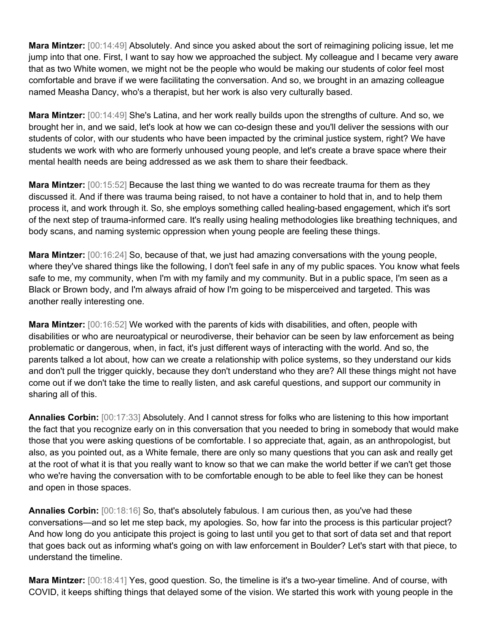**Mara Mintzer:** [00:14:49] Absolutely. And since you asked about the sort of reimagining policing issue, let me jump into that one. First, I want to say how we approached the subject. My colleague and I became very aware that as two White women, we might not be the people who would be making our students of color feel most comfortable and brave if we were facilitating the conversation. And so, we brought in an amazing colleague named Measha Dancy, who's a therapist, but her work is also very culturally based.

**Mara Mintzer:** [00:14:49] She's Latina, and her work really builds upon the strengths of culture. And so, we brought her in, and we said, let's look at how we can co-design these and you'll deliver the sessions with our students of color, with our students who have been impacted by the criminal justice system, right? We have students we work with who are formerly unhoused young people, and let's create a brave space where their mental health needs are being addressed as we ask them to share their feedback.

**Mara Mintzer:** [00:15:52] Because the last thing we wanted to do was recreate trauma for them as they discussed it. And if there was trauma being raised, to not have a container to hold that in, and to help them process it, and work through it. So, she employs something called healing-based engagement, which it's sort of the next step of trauma-informed care. It's really using healing methodologies like breathing techniques, and body scans, and naming systemic oppression when young people are feeling these things.

**Mara Mintzer:** [00:16:24] So, because of that, we just had amazing conversations with the young people, where they've shared things like the following, I don't feel safe in any of my public spaces. You know what feels safe to me, my community, when I'm with my family and my community. But in a public space, I'm seen as a Black or Brown body, and I'm always afraid of how I'm going to be misperceived and targeted. This was another really interesting one.

**Mara Mintzer:** [00:16:52] We worked with the parents of kids with disabilities, and often, people with disabilities or who are neuroatypical or neurodiverse, their behavior can be seen by law enforcement as being problematic or dangerous, when, in fact, it's just different ways of interacting with the world. And so, the parents talked a lot about, how can we create a relationship with police systems, so they understand our kids and don't pull the trigger quickly, because they don't understand who they are? All these things might not have come out if we don't take the time to really listen, and ask careful questions, and support our community in sharing all of this.

**Annalies Corbin:** [00:17:33] Absolutely. And I cannot stress for folks who are listening to this how important the fact that you recognize early on in this conversation that you needed to bring in somebody that would make those that you were asking questions of be comfortable. I so appreciate that, again, as an anthropologist, but also, as you pointed out, as a White female, there are only so many questions that you can ask and really get at the root of what it is that you really want to know so that we can make the world better if we can't get those who we're having the conversation with to be comfortable enough to be able to feel like they can be honest and open in those spaces.

**Annalies Corbin:** [00:18:16] So, that's absolutely fabulous. I am curious then, as you've had these conversations—and so let me step back, my apologies. So, how far into the process is this particular project? And how long do you anticipate this project is going to last until you get to that sort of data set and that report that goes back out as informing what's going on with law enforcement in Boulder? Let's start with that piece, to understand the timeline.

**Mara Mintzer:** [00:18:41] Yes, good question. So, the timeline is it's a two-year timeline. And of course, with COVID, it keeps shifting things that delayed some of the vision. We started this work with young people in the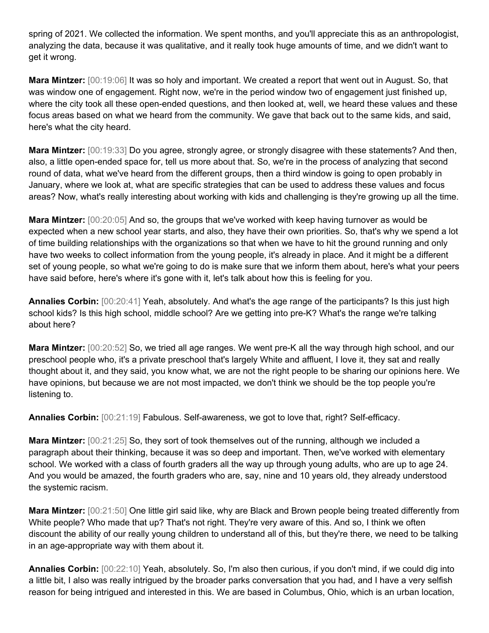spring of 2021. We collected the information. We spent months, and you'll appreciate this as an anthropologist, analyzing the data, because it was qualitative, and it really took huge amounts of time, and we didn't want to get it wrong.

**Mara Mintzer:** [00:19:06] It was so holy and important. We created a report that went out in August. So, that was window one of engagement. Right now, we're in the period window two of engagement just finished up, where the city took all these open-ended questions, and then looked at, well, we heard these values and these focus areas based on what we heard from the community. We gave that back out to the same kids, and said, here's what the city heard.

**Mara Mintzer:** [00:19:33] Do you agree, strongly agree, or strongly disagree with these statements? And then, also, a little open-ended space for, tell us more about that. So, we're in the process of analyzing that second round of data, what we've heard from the different groups, then a third window is going to open probably in January, where we look at, what are specific strategies that can be used to address these values and focus areas? Now, what's really interesting about working with kids and challenging is they're growing up all the time.

**Mara Mintzer:** [00:20:05] And so, the groups that we've worked with keep having turnover as would be expected when a new school year starts, and also, they have their own priorities. So, that's why we spend a lot of time building relationships with the organizations so that when we have to hit the ground running and only have two weeks to collect information from the young people, it's already in place. And it might be a different set of young people, so what we're going to do is make sure that we inform them about, here's what your peers have said before, here's where it's gone with it, let's talk about how this is feeling for you.

**Annalies Corbin:** [00:20:41] Yeah, absolutely. And what's the age range of the participants? Is this just high school kids? Is this high school, middle school? Are we getting into pre-K? What's the range we're talking about here?

**Mara Mintzer:** [00:20:52] So, we tried all age ranges. We went pre-K all the way through high school, and our preschool people who, it's a private preschool that's largely White and affluent, I love it, they sat and really thought about it, and they said, you know what, we are not the right people to be sharing our opinions here. We have opinions, but because we are not most impacted, we don't think we should be the top people you're listening to.

**Annalies Corbin:** [00:21:19] Fabulous. Self-awareness, we got to love that, right? Self-efficacy.

**Mara Mintzer:** [00:21:25] So, they sort of took themselves out of the running, although we included a paragraph about their thinking, because it was so deep and important. Then, we've worked with elementary school. We worked with a class of fourth graders all the way up through young adults, who are up to age 24. And you would be amazed, the fourth graders who are, say, nine and 10 years old, they already understood the systemic racism.

**Mara Mintzer:** [00:21:50] One little girl said like, why are Black and Brown people being treated differently from White people? Who made that up? That's not right. They're very aware of this. And so, I think we often discount the ability of our really young children to understand all of this, but they're there, we need to be talking in an age-appropriate way with them about it.

**Annalies Corbin:** [00:22:10] Yeah, absolutely. So, I'm also then curious, if you don't mind, if we could dig into a little bit, I also was really intrigued by the broader parks conversation that you had, and I have a very selfish reason for being intrigued and interested in this. We are based in Columbus, Ohio, which is an urban location,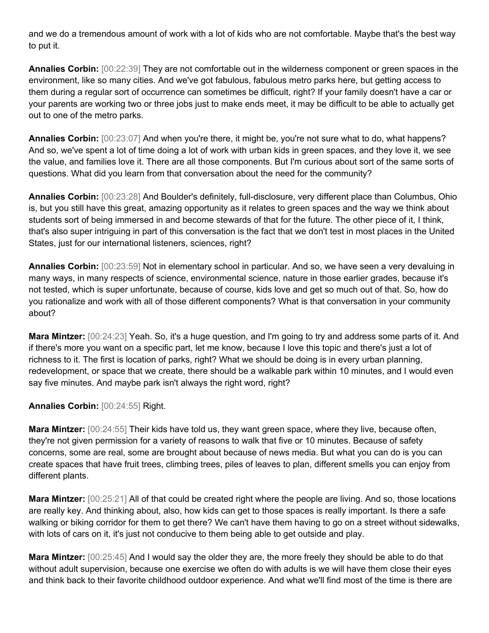and we do a tremendous amount of work with a lot of kids who are not comfortable. Maybe that's the best way to put it.

**Annalies Corbin:** [00:22:39] They are not comfortable out in the wilderness component or green spaces in the environment, like so many cities. And we've got fabulous, fabulous metro parks here, but getting access to them during a regular sort of occurrence can sometimes be difficult, right? If your family doesn't have a car or your parents are working two or three jobs just to make ends meet, it may be difficult to be able to actually get out to one of the metro parks.

**Annalies Corbin:** [00:23:07] And when you're there, it might be, you're not sure what to do, what happens? And so, we've spent a lot of time doing a lot of work with urban kids in green spaces, and they love it, we see the value, and families love it. There are all those components. But I'm curious about sort of the same sorts of questions. What did you learn from that conversation about the need for the community?

**Annalies Corbin:** [00:23:28] And Boulder's definitely, full-disclosure, very different place than Columbus, Ohio is, but you still have this great, amazing opportunity as it relates to green spaces and the way we think about students sort of being immersed in and become stewards of that for the future. The other piece of it, I think, that's also super intriguing in part of this conversation is the fact that we don't test in most places in the United States, just for our international listeners, sciences, right?

**Annalies Corbin:** [00:23:59] Not in elementary school in particular. And so, we have seen a very devaluing in many ways, in many respects of science, environmental science, nature in those earlier grades, because it's not tested, which is super unfortunate, because of course, kids love and get so much out of that. So, how do you rationalize and work with all of those different components? What is that conversation in your community about?

**Mara Mintzer:** [00:24:23] Yeah. So, it's a huge question, and I'm going to try and address some parts of it. And if there's more you want on a specific part, let me know, because I love this topic and there's just a lot of richness to it. The first is location of parks, right? What we should be doing is in every urban planning, redevelopment, or space that we create, there should be a walkable park within 10 minutes, and I would even say five minutes. And maybe park isn't always the right word, right?

**Annalies Corbin:** [00:24:55] Right.

**Mara Mintzer:** [00:24:55] Their kids have told us, they want green space, where they live, because often, they're not given permission for a variety of reasons to walk that five or 10 minutes. Because of safety concerns, some are real, some are brought about because of news media. But what you can do is you can create spaces that have fruit trees, climbing trees, piles of leaves to plan, different smells you can enjoy from different plants.

**Mara Mintzer:** [00:25:21] All of that could be created right where the people are living. And so, those locations are really key. And thinking about, also, how kids can get to those spaces is really important. Is there a safe walking or biking corridor for them to get there? We can't have them having to go on a street without sidewalks, with lots of cars on it, it's just not conducive to them being able to get outside and play.

**Mara Mintzer:** [00:25:45] And I would say the older they are, the more freely they should be able to do that without adult supervision, because one exercise we often do with adults is we will have them close their eyes and think back to their favorite childhood outdoor experience. And what we'll find most of the time is there are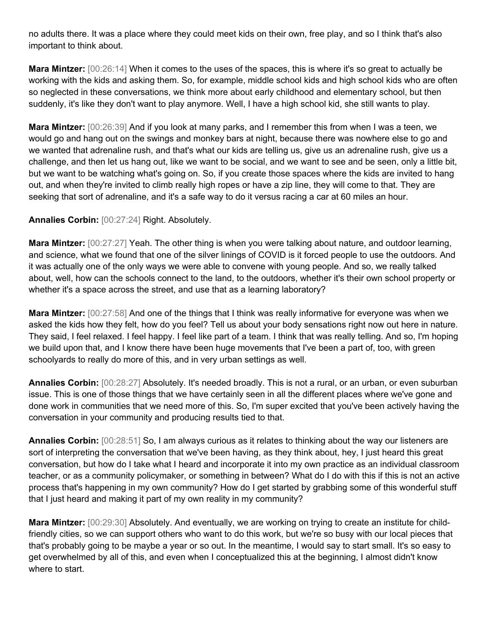no adults there. It was a place where they could meet kids on their own, free play, and so I think that's also important to think about.

**Mara Mintzer:** [00:26:14] When it comes to the uses of the spaces, this is where it's so great to actually be working with the kids and asking them. So, for example, middle school kids and high school kids who are often so neglected in these conversations, we think more about early childhood and elementary school, but then suddenly, it's like they don't want to play anymore. Well, I have a high school kid, she still wants to play.

**Mara Mintzer:** [00:26:39] And if you look at many parks, and I remember this from when I was a teen, we would go and hang out on the swings and monkey bars at night, because there was nowhere else to go and we wanted that adrenaline rush, and that's what our kids are telling us, give us an adrenaline rush, give us a challenge, and then let us hang out, like we want to be social, and we want to see and be seen, only a little bit, but we want to be watching what's going on. So, if you create those spaces where the kids are invited to hang out, and when they're invited to climb really high ropes or have a zip line, they will come to that. They are seeking that sort of adrenaline, and it's a safe way to do it versus racing a car at 60 miles an hour.

## **Annalies Corbin:** [00:27:24] Right. Absolutely.

**Mara Mintzer:** [00:27:27] Yeah. The other thing is when you were talking about nature, and outdoor learning, and science, what we found that one of the silver linings of COVID is it forced people to use the outdoors. And it was actually one of the only ways we were able to convene with young people. And so, we really talked about, well, how can the schools connect to the land, to the outdoors, whether it's their own school property or whether it's a space across the street, and use that as a learning laboratory?

**Mara Mintzer:** [00:27:58] And one of the things that I think was really informative for everyone was when we asked the kids how they felt, how do you feel? Tell us about your body sensations right now out here in nature. They said, I feel relaxed. I feel happy. I feel like part of a team. I think that was really telling. And so, I'm hoping we build upon that, and I know there have been huge movements that I've been a part of, too, with green schoolyards to really do more of this, and in very urban settings as well.

**Annalies Corbin:** [00:28:27] Absolutely. It's needed broadly. This is not a rural, or an urban, or even suburban issue. This is one of those things that we have certainly seen in all the different places where we've gone and done work in communities that we need more of this. So, I'm super excited that you've been actively having the conversation in your community and producing results tied to that.

**Annalies Corbin:** [00:28:51] So, I am always curious as it relates to thinking about the way our listeners are sort of interpreting the conversation that we've been having, as they think about, hey, I just heard this great conversation, but how do I take what I heard and incorporate it into my own practice as an individual classroom teacher, or as a community policymaker, or something in between? What do I do with this if this is not an active process that's happening in my own community? How do I get started by grabbing some of this wonderful stuff that I just heard and making it part of my own reality in my community?

**Mara Mintzer:** [00:29:30] Absolutely. And eventually, we are working on trying to create an institute for childfriendly cities, so we can support others who want to do this work, but we're so busy with our local pieces that that's probably going to be maybe a year or so out. In the meantime, I would say to start small. It's so easy to get overwhelmed by all of this, and even when I conceptualized this at the beginning, I almost didn't know where to start.